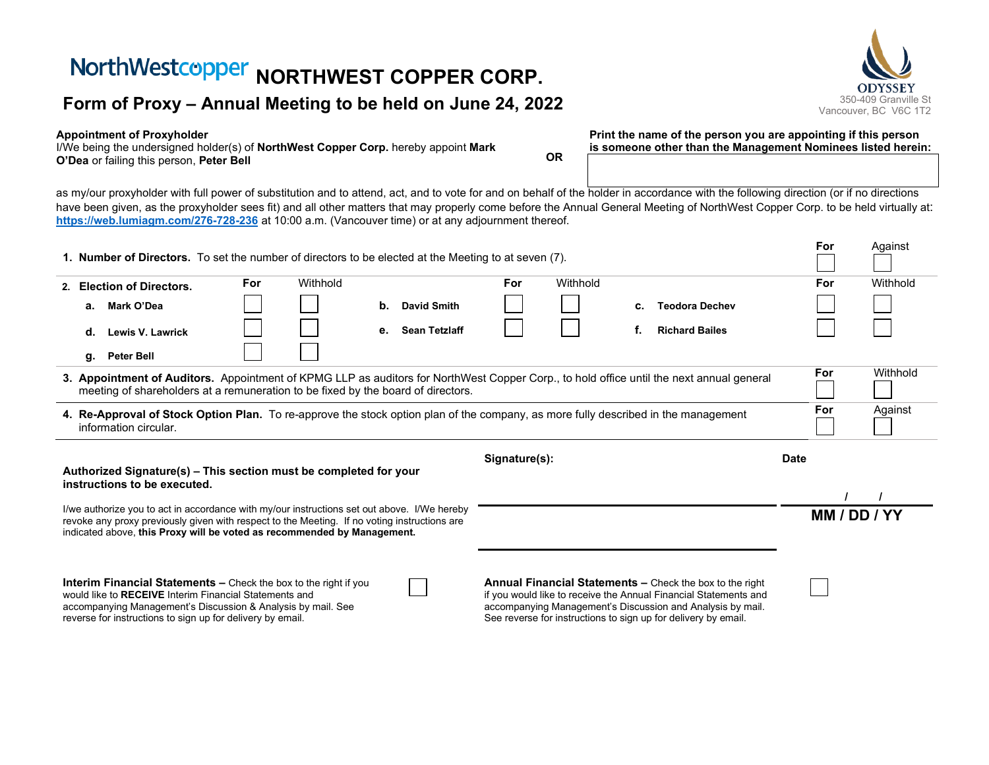# **NorthWestcopper NORTHWEST COPPER CORP.**<br>
Form of Proxy – Annual Meeting to be held on June 24, 2022<br>
State of the state of the state of the state of the state of the state of the state of the state of the state of the sta

#### **Appointment of Proxyholder**

reverse for instructions to sign up for delivery by email.

I/We being the undersigned holder(s) of **NorthWest Copper Corp.** hereby appoint **Mark O'Dea** or failing this person, **Peter Bell OR**

See reverse for instructions to sign up for delivery by email.

**Print the name of the person you are appointing if this person is someone other than the Management Nominees listed herein:**

as my/our proxyholder with full power of substitution and to attend, act, and to vote for and on behalf of the holder in accordance with the following direction (or if no directions have been given, as the proxyholder sees fit) and all other matters that may properly come before the Annual General Meeting of NorthWest Copper Corp. to be held virtually at: **[https://web.lumiagm.com/276-728-236](https://web.lumiagm.com/XXXXXXXXX)** at 10:00 a.m. (Vancouver time) or at any adjournment thereof.

| 1. Number of Directors. To set the number of directors to be elected at the Meeting to at seven (7).                                                                                                                                                                   |                                                                                                                                                                                                   |     |          |    |                      |     |          |    |                                                                                                                                                                                                   |  | For | Against      |
|------------------------------------------------------------------------------------------------------------------------------------------------------------------------------------------------------------------------------------------------------------------------|---------------------------------------------------------------------------------------------------------------------------------------------------------------------------------------------------|-----|----------|----|----------------------|-----|----------|----|---------------------------------------------------------------------------------------------------------------------------------------------------------------------------------------------------|--|-----|--------------|
|                                                                                                                                                                                                                                                                        | 2. Election of Directors.                                                                                                                                                                         | For | Withhold |    |                      | For | Withhold |    |                                                                                                                                                                                                   |  | For | Withhold     |
|                                                                                                                                                                                                                                                                        | Mark O'Dea<br>а.                                                                                                                                                                                  |     |          | b. | <b>David Smith</b>   |     |          | c. | <b>Teodora Dechev</b>                                                                                                                                                                             |  |     |              |
|                                                                                                                                                                                                                                                                        | Lewis V. Lawrick<br>d.                                                                                                                                                                            |     |          | е. | <b>Sean Tetzlaff</b> |     |          | f. | <b>Richard Bailes</b>                                                                                                                                                                             |  |     |              |
|                                                                                                                                                                                                                                                                        | g. Peter Bell                                                                                                                                                                                     |     |          |    |                      |     |          |    |                                                                                                                                                                                                   |  |     |              |
| 3. Appointment of Auditors. Appointment of KPMG LLP as auditors for NorthWest Copper Corp., to hold office until the next annual general<br>meeting of shareholders at a remuneration to be fixed by the board of directors.                                           |                                                                                                                                                                                                   |     |          |    |                      |     |          |    |                                                                                                                                                                                                   |  | For | Withhold     |
| 4. Re-Approval of Stock Option Plan. To re-approve the stock option plan of the company, as more fully described in the management<br>information circular.                                                                                                            |                                                                                                                                                                                                   |     |          |    |                      |     |          |    |                                                                                                                                                                                                   |  | For | Against      |
| Signature(s):<br>Authorized Signature(s) – This section must be completed for your<br>instructions to be executed.                                                                                                                                                     |                                                                                                                                                                                                   |     |          |    |                      |     |          |    | Date                                                                                                                                                                                              |  |     |              |
|                                                                                                                                                                                                                                                                        |                                                                                                                                                                                                   |     |          |    |                      |     |          |    |                                                                                                                                                                                                   |  |     |              |
| I/we authorize you to act in accordance with my/our instructions set out above. I/We hereby<br>revoke any proxy previously given with respect to the Meeting. If no voting instructions are<br>indicated above, this Proxy will be voted as recommended by Management. |                                                                                                                                                                                                   |     |          |    |                      |     |          |    |                                                                                                                                                                                                   |  |     | MM / DD / YY |
|                                                                                                                                                                                                                                                                        | <b>Interim Financial Statements –</b> Check the box to the right if you<br>would like to RECEIVE Interim Financial Statements and<br>accompanying Management's Discussion & Analysis by mail. See |     |          |    |                      |     |          |    | <b>Annual Financial Statements –</b> Check the box to the right<br>if you would like to receive the Annual Financial Statements and<br>accompanying Management's Discussion and Analysis by mail. |  |     |              |